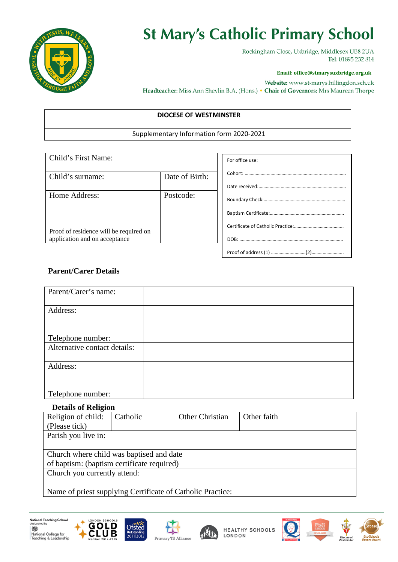

# **St Mary's Catholic Primary School**

Rockingham Close, Uxbridge, Middlesex UB8 2UA Tel: 01895 232 814

#### **Email: office@stmarysuxbridge.org.uk**

Website: www.st-marys.hillingdon.sch.uk Headteacher: Miss Ann Shevlin B.A. (Hons.) • Chair of Governors: Mrs Maureen Thorpe

### **DIOCESE OF WESTMINSTER**

#### Supplementary Information form 2020-2021

| Child's First Name:                    |                | For office use: |
|----------------------------------------|----------------|-----------------|
| Child's surname:                       | Date of Birth: |                 |
|                                        |                |                 |
| Home Address:                          | Postcode:      |                 |
|                                        |                |                 |
| Proof of residence will be required on |                |                 |
| application and on acceptance          |                |                 |
|                                        |                |                 |

## **Parent/Carer Details**

| Parent/Carer's name:         |  |
|------------------------------|--|
|                              |  |
| Address:                     |  |
|                              |  |
|                              |  |
| Telephone number:            |  |
| Alternative contact details: |  |
|                              |  |
| Address:                     |  |
|                              |  |
|                              |  |
| Telephone number:            |  |

### **Details of Religion**

| Religion of child:                                         | Catholic | Other Christian | Other faith |  |
|------------------------------------------------------------|----------|-----------------|-------------|--|
| (Please tick)                                              |          |                 |             |  |
| Parish you live in:                                        |          |                 |             |  |
|                                                            |          |                 |             |  |
| Church where child was baptised and date                   |          |                 |             |  |
| of baptism: (baptism certificate required)                 |          |                 |             |  |
| Church you currently attend:                               |          |                 |             |  |
|                                                            |          |                 |             |  |
| Name of priest supplying Certificate of Catholic Practice: |          |                 |             |  |